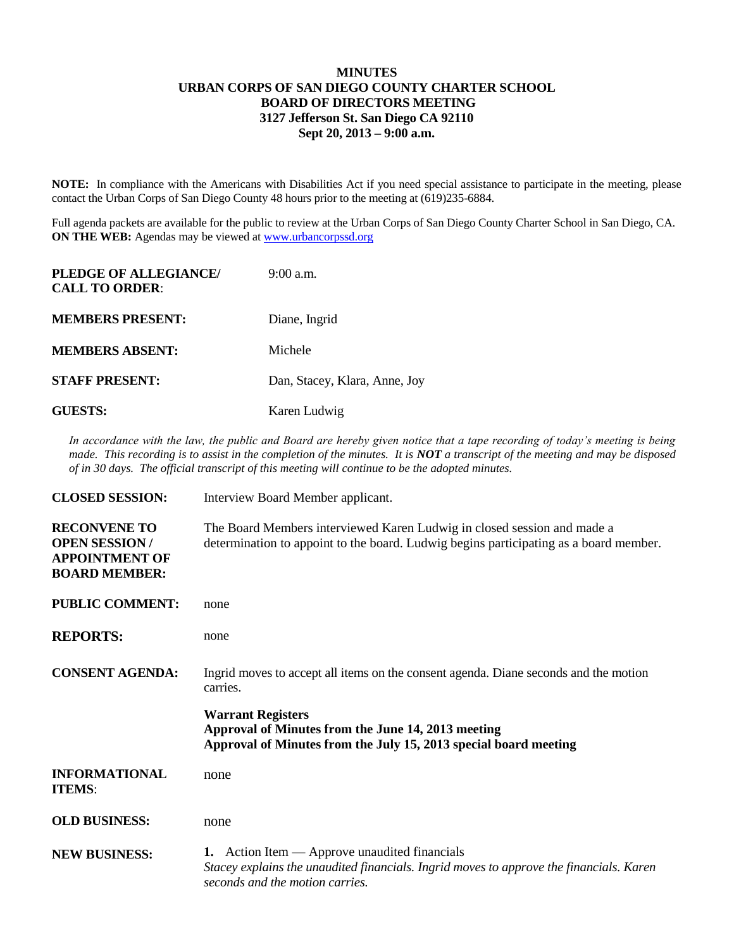## **MINUTES URBAN CORPS OF SAN DIEGO COUNTY CHARTER SCHOOL BOARD OF DIRECTORS MEETING 3127 Jefferson St. San Diego CA 92110 Sept 20, 2013 – 9:00 a.m.**

**NOTE:** In compliance with the Americans with Disabilities Act if you need special assistance to participate in the meeting, please contact the Urban Corps of San Diego County 48 hours prior to the meeting at (619)235-6884.

Full agenda packets are available for the public to review at the Urban Corps of San Diego County Charter School in San Diego, CA. **ON THE WEB:** Agendas may be viewed at [www.urbancorpssd.org](http://www.urbancorpssd.org/)

| PLEDGE OF ALLEGIANCE/<br><b>CALL TO ORDER:</b> | $9:00$ a.m.                   |
|------------------------------------------------|-------------------------------|
| <b>MEMBERS PRESENT:</b>                        | Diane, Ingrid                 |
| <b>MEMBERS ABSENT:</b>                         | Michele                       |
| <b>STAFF PRESENT:</b>                          | Dan, Stacey, Klara, Anne, Joy |
| <b>GUESTS:</b>                                 | Karen Ludwig                  |

*In accordance with the law, the public and Board are hereby given notice that a tape recording of today's meeting is being made. This recording is to assist in the completion of the minutes. It is NOT a transcript of the meeting and may be disposed of in 30 days. The official transcript of this meeting will continue to be the adopted minutes.*

| <b>CLOSED SESSION:</b>                                                                       | Interview Board Member applicant.                                                                                                                                             |
|----------------------------------------------------------------------------------------------|-------------------------------------------------------------------------------------------------------------------------------------------------------------------------------|
| <b>RECONVENE TO</b><br><b>OPEN SESSION/</b><br><b>APPOINTMENT OF</b><br><b>BOARD MEMBER:</b> | The Board Members interviewed Karen Ludwig in closed session and made a<br>determination to appoint to the board. Ludwig begins participating as a board member.              |
| <b>PUBLIC COMMENT:</b>                                                                       | none                                                                                                                                                                          |
| <b>REPORTS:</b>                                                                              | none                                                                                                                                                                          |
| <b>CONSENT AGENDA:</b>                                                                       | Ingrid moves to accept all items on the consent agenda. Diane seconds and the motion<br>carries.                                                                              |
|                                                                                              | <b>Warrant Registers</b><br>Approval of Minutes from the June 14, 2013 meeting<br>Approval of Minutes from the July 15, 2013 special board meeting                            |
| <b>INFORMATIONAL</b><br><b>ITEMS:</b>                                                        | none                                                                                                                                                                          |
| <b>OLD BUSINESS:</b>                                                                         | none                                                                                                                                                                          |
| <b>NEW BUSINESS:</b>                                                                         | 1. Action Item $-$ Approve unaudited financials<br>Stacey explains the unaudited financials. Ingrid moves to approve the financials. Karen<br>seconds and the motion carries. |